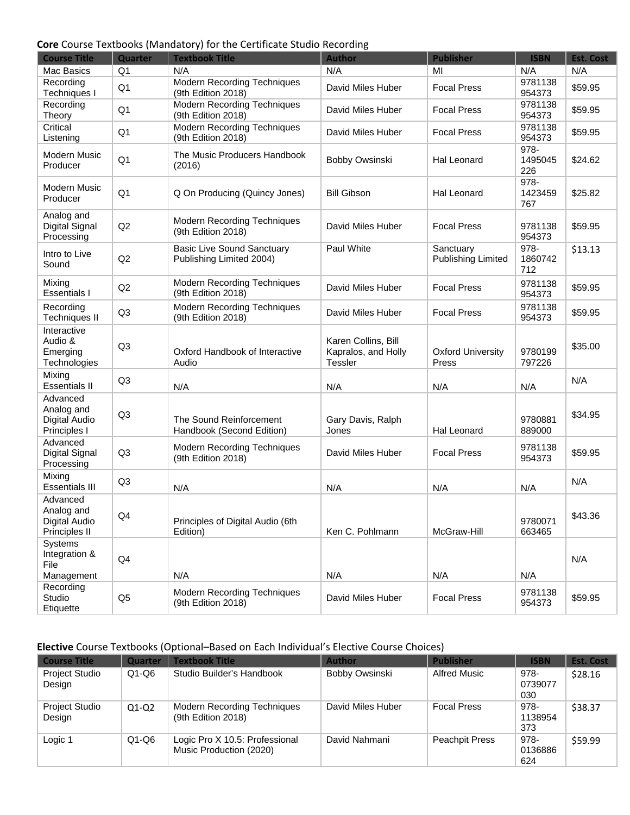#### **Core** Course Textbooks (Mandatory) for the Certificate Studio Recording

| <b>Course Title</b>                                             | Quarter        | <b>Textbook Title</b>                                         | <b>Author</b>                                                | <b>Publisher</b>                       | <b>ISBN</b>            | <b>Est. Cost</b> |
|-----------------------------------------------------------------|----------------|---------------------------------------------------------------|--------------------------------------------------------------|----------------------------------------|------------------------|------------------|
| Mac Basics                                                      | Q <sub>1</sub> | N/A                                                           | N/A                                                          | MI                                     | N/A                    | N/A              |
| Recording<br>Techniques I                                       | Q1             | Modern Recording Techniques<br>(9th Edition 2018)             | David Miles Huber                                            | <b>Focal Press</b>                     | 9781138<br>954373      | \$59.95          |
| Recording<br>Theory                                             | Q <sub>1</sub> | <b>Modern Recording Techniques</b><br>(9th Edition 2018)      | David Miles Huber                                            | <b>Focal Press</b>                     | 9781138<br>954373      | \$59.95          |
| Critical<br>Listening                                           | Q <sub>1</sub> | Modern Recording Techniques<br>(9th Edition 2018)             | David Miles Huber                                            | <b>Focal Press</b>                     | 9781138<br>954373      | \$59.95          |
| Modern Music<br>Producer                                        | Q <sub>1</sub> | The Music Producers Handbook<br>(2016)                        | Bobby Owsinski                                               | <b>Hal Leonard</b>                     | 978-<br>1495045<br>226 | \$24.62          |
| <b>Modern Music</b><br>Producer                                 | Q <sub>1</sub> | Q On Producing (Quincy Jones)                                 | <b>Bill Gibson</b>                                           | Hal Leonard                            | 978-<br>1423459<br>767 | \$25.82          |
| Analog and<br>Digital Signal<br>Processing                      | Q2             | <b>Modern Recording Techniques</b><br>(9th Edition 2018)      | David Miles Huber                                            | <b>Focal Press</b>                     | 9781138<br>954373      | \$59.95          |
| Intro to Live<br>Sound                                          | Q2             | <b>Basic Live Sound Sanctuary</b><br>Publishing Limited 2004) | Paul White                                                   | Sanctuary<br><b>Publishing Limited</b> | 978-<br>1860742<br>712 | \$13.13          |
| Mixing<br><b>Essentials I</b>                                   | Q2             | Modern Recording Techniques<br>(9th Edition 2018)             | David Miles Huber                                            | <b>Focal Press</b>                     | 9781138<br>954373      | \$59.95          |
| Recording<br><b>Techniques II</b>                               | Q <sub>3</sub> | Modern Recording Techniques<br>(9th Edition 2018)             | David Miles Huber                                            | <b>Focal Press</b>                     | 9781138<br>954373      | \$59.95          |
| Interactive<br>Audio &<br>Emerging<br>Technologies              | Q <sub>3</sub> | Oxford Handbook of Interactive<br>Audio                       | Karen Collins, Bill<br>Kapralos, and Holly<br><b>Tessler</b> | <b>Oxford University</b><br>Press      | 9780199<br>797226      | \$35.00          |
| Mixing<br><b>Essentials II</b>                                  | Q <sub>3</sub> | N/A                                                           | N/A                                                          | N/A                                    | N/A                    | N/A              |
| Advanced<br>Analog and<br>Digital Audio<br>Principles I         | Q <sub>3</sub> | The Sound Reinforcement<br>Handbook (Second Edition)          | Gary Davis, Ralph<br>Jones                                   | Hal Leonard                            | 9780881<br>889000      | \$34.95          |
| Advanced<br>Digital Signal<br>Processing                        | Q <sub>3</sub> | <b>Modern Recording Techniques</b><br>(9th Edition 2018)      | David Miles Huber                                            | <b>Focal Press</b>                     | 9781138<br>954373      | \$59.95          |
| Mixing<br><b>Essentials III</b>                                 | Q <sub>3</sub> | N/A                                                           | N/A                                                          | N/A                                    | N/A                    | N/A              |
| Advanced<br>Analog and<br><b>Digital Audio</b><br>Principles II | Q4             | Principles of Digital Audio (6th<br>Edition)                  | Ken C. Pohlmann                                              | McGraw-Hill                            | 9780071<br>663465      | \$43.36          |
| Systems<br>Integration &<br>File                                | Q4             |                                                               |                                                              |                                        |                        | N/A              |
| Management<br>Recording                                         |                | N/A                                                           | N/A                                                          | N/A                                    | N/A                    |                  |
| Studio<br>Etiquette                                             | Q <sub>5</sub> | <b>Modern Recording Techniques</b><br>(9th Edition 2018)      | David Miles Huber                                            | <b>Focal Press</b>                     | 9781138<br>954373      | \$59.95          |

# **Elective** Course Textbooks (Optional–Based on Each Individual's Elective Course Choices)

| <b>Course Title</b>             | <b>Quarter</b> | <b>Textbook Title</b>                                     | <b>Author</b>     | <b>Publisher</b>      | <b>ISBN</b>            | <b>Est. Cost</b> |
|---------------------------------|----------------|-----------------------------------------------------------|-------------------|-----------------------|------------------------|------------------|
| <b>Project Studio</b><br>Design | $Q1-Q6$        | Studio Builder's Handbook                                 | Bobby Owsinski    | Alfred Music          | 978-<br>0739077<br>030 | \$28.16          |
| <b>Project Studio</b><br>Design | $Q1-Q2$        | <b>Modern Recording Techniques</b><br>(9th Edition 2018)  | David Miles Huber | <b>Focal Press</b>    | 978-<br>1138954<br>373 | \$38.37          |
| Logic 1                         | $Q1-Q6$        | Logic Pro X 10.5: Professional<br>Music Production (2020) | David Nahmani     | <b>Peachpit Press</b> | 978-<br>0136886<br>624 | \$59.99          |